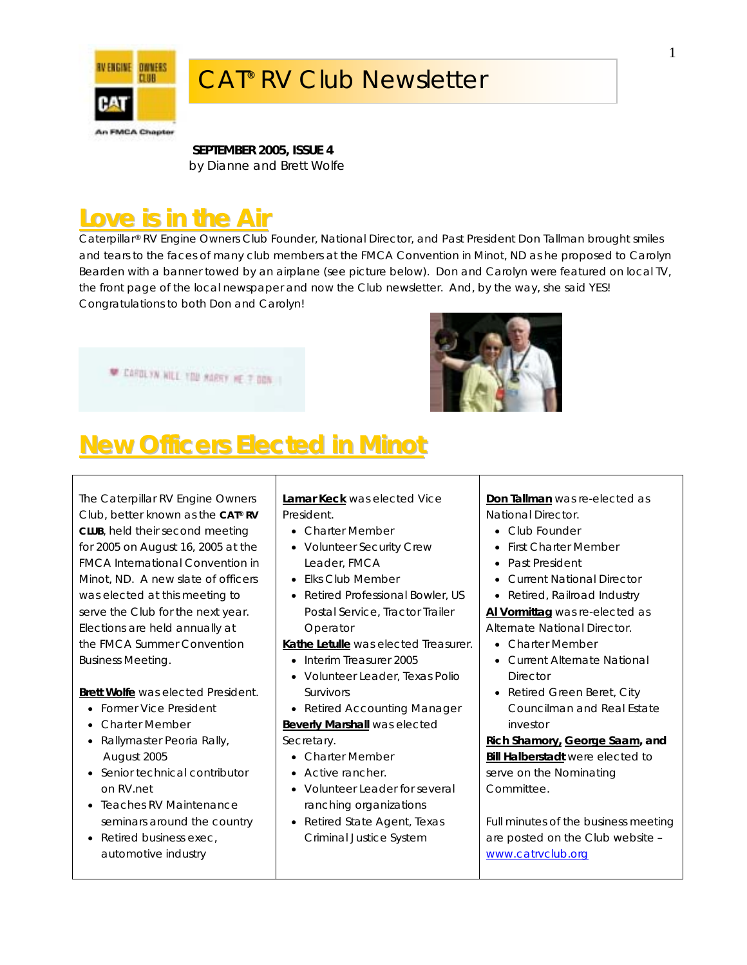

**SEPTEMBER 2005, ISSUE 4**  *by Dianne and Brett Wolfe*

## **Love is in the Air**

Caterpillar® RV Engine Owners Club Founder, National Director, and Past President Don Tallman brought smiles and tears to the faces of many club members at the FMCA Convention in Minot, ND as he proposed to Carolyn Bearden with a banner towed by an airplane (see picture below). Don and Carolyn were featured on local TV, the front page of the local newspaper and now the Club newsletter. And, by the way, she said YES! Congratulations to both Don and Carolyn!





# **New Officers Elected in Minot**

The Caterpillar RV Engine Owners Club, better known as the *CAT® RV CLUB*, held their second meeting for 2005 on August 16, 2005 at the FMCA International Convention in Minot, ND. A new slate of officers was elected at this meeting to serve the Club for the next year. Elections are held annually at the FMCA Summer Convention Business Meeting.

**Brett Wolfe** was elected President.

- Former Vice President
- Charter Member
- Rallymaster Peoria Rally, August 2005
- Senior technical contributor on RV.net
- Teaches RV Maintenance seminars around the country
- Retired business exec, automotive industry

**Lamar Keck** was elected Vice President.

- Charter Member
- Volunteer Security Crew Leader, FMCA
- Elks Club Member
- Retired Professional Bowler, US Postal Service, Tractor Trailer Operator
- **Kathe Letulle** was elected Treasurer.
	- Interim Treasurer 2005
	- Volunteer Leader, Texas Polio Survivors
- Retired Accounting Manager

**Beverly Marshall** was elected Secretary.

- Charter Member
- Active rancher.
- Volunteer Leader for several ranching organizations
- Retired State Agent, Texas Criminal Justice System

#### **Don Tallman** was re-elected as National Director.

- Club Founder
- First Charter Member
- Past President
- Current National Director
- Retired, Railroad Industry

**Al Vormittag** was re-elected as Alternate National Director.

- Charter Member
- Current Alternate National **Director**
- Retired Green Beret, City Councilman and Real Estate investor

**Rich Shamory, George Saam, and Bill Halberstadt** were elected to serve on the Nominating Committee.

Full minutes of the business meeting are posted on the Club website – [www.catrvclub.org](http://www.catrvclub.org/)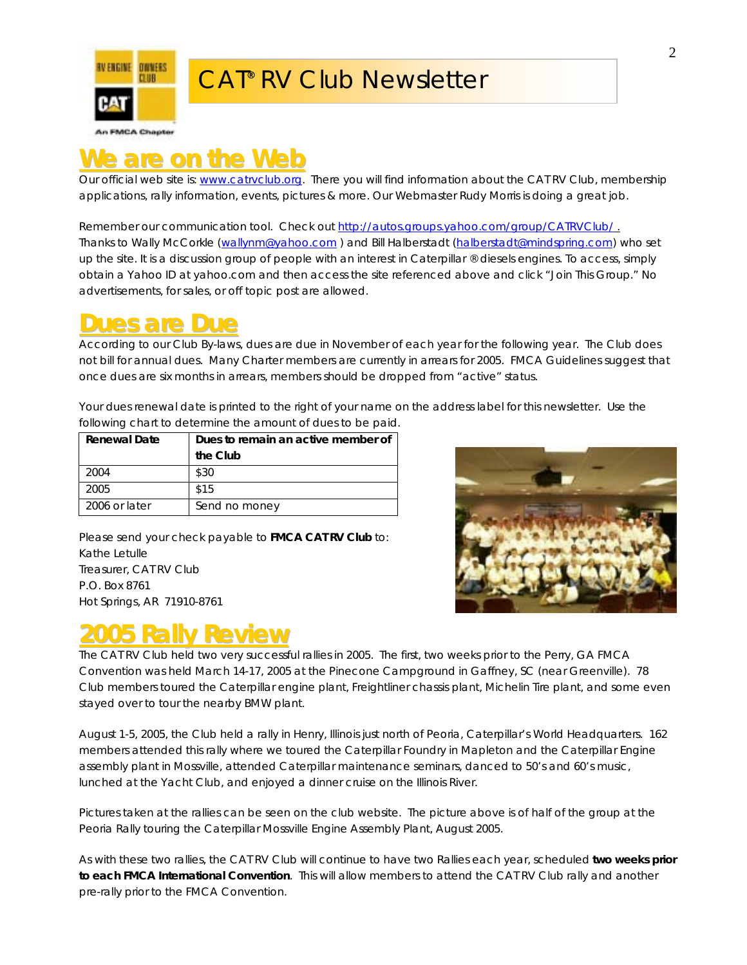

### **We are on the Web**

Our official web site is: [www.catrvclub.org.](http://www.catrvclub.org/) There you will find information about the CAT RV Club, membership applications, rally information, events, pictures & more. Our Webmaster Rudy Morris is doing a great job.

Remember our communication tool. Check out <http://autos.groups.yahoo.com/group/CATRVClub/>. Thanks to Wally McCorkle [\(wallynm@yahoo.com](mailto:wallynm@yahoo.com)) and Bill Halberstadt [\(halberstadt@mindspring.com](mailto:halberstadt@mindspring.com)) who set up the site. It is a discussion group of people with an interest in Caterpillar ® diesels engines. To access, simply obtain a Yahoo ID at yahoo.com and then access the site referenced above and click "Join This Group." No advertisements, for sales, or off topic post are allowed.

#### **Dues are Due**

According to our Club By-laws, dues are due in November of each year for the following year. The Club does not bill for annual dues. Many Charter members are currently in arrears for 2005. FMCA Guidelines suggest that once dues are six months in arrears, members should be dropped from "active" status.

Your dues renewal date is printed to the right of your name on the address label for this newsletter. Use the following chart to determine the amount of dues to be paid.

| <b>Renewal Date</b> | Dues to remain an active member of |  |
|---------------------|------------------------------------|--|
|                     | the Club                           |  |
| 2004                | \$30                               |  |
| 2005                | \$15                               |  |
| 2006 or later       | Send no money                      |  |

Please send your check payable to **FMCA CAT RV Club** to: Kathe Letulle Treasurer, CAT RV Club P.O. Box 8761 Hot Springs, AR 71910-8761



## **2005 Rally Review**

The CAT RV Club held two very successful rallies in 2005. The first, two weeks prior to the Perry, GA FMCA Convention was held March 14-17, 2005 at the Pinecone Campground in Gaffney, SC (near Greenville). 78 Club members toured the Caterpillar engine plant, Freightliner chassis plant, Michelin Tire plant, and some even stayed over to tour the nearby BMW plant.

August 1-5, 2005, the Club held a rally in Henry, Illinois just north of Peoria, Caterpillar's World Headquarters. 162 members attended this rally where we toured the Caterpillar Foundry in Mapleton and the Caterpillar Engine assembly plant in Mossville, attended Caterpillar maintenance seminars, danced to 50's and 60's music, lunched at the Yacht Club, and enjoyed a dinner cruise on the Illinois River.

Pictures taken at the rallies can be seen on the club website. The picture above is of half of the group at the Peoria Rally touring the Caterpillar Mossville Engine Assembly Plant, August 2005.

As with these two rallies, the CAT RV Club will continue to have two Rallies each year, scheduled **two weeks prior to each FMCA International Convention**. This will allow members to attend the CAT RV Club rally and another pre-rally prior to the FMCA Convention.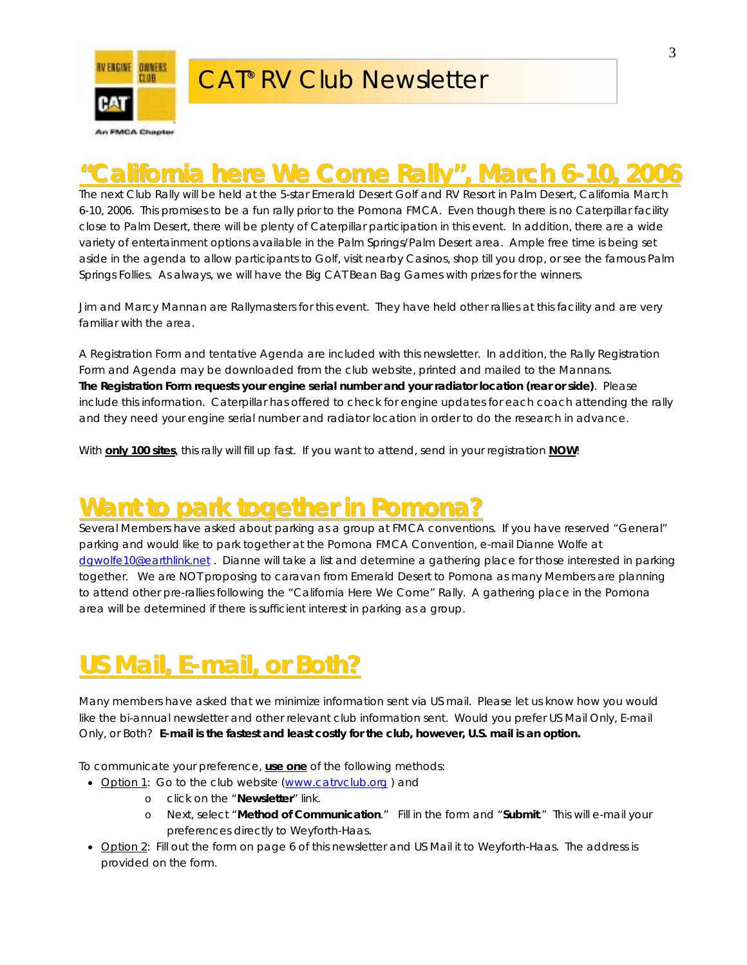

## **"California here We Come Rally", March 6-10, 2006 California here We Come Rally" , March 6-10, 2006**

The next Club Rally will be held at the 5-star Emerald Desert Golf and RV Resort in Palm Desert, California March 6-10, 2006. This promises to be a fun rally prior to the Pomona FMCA. Even though there is no Caterpillar facility close to Palm Desert, there will be plenty of Caterpillar participation in this event. In addition, there are a wide variety of entertainment options available in the Palm Springs/Palm Desert area. Ample free time is being set aside in the agenda to allow participants to Golf, visit nearby Casinos, shop till you drop, or see the famous Palm Springs Follies. As always, we will have the Big CAT Bean Bag Games with prizes for the winners.

Jim and Marcy Mannan are Rallymasters for this event. They have held other rallies at this facility and are very familiar with the area.

A Registration Form and tentative Agenda are included with this newsletter. In addition, the Rally Registration Form and Agenda may be downloaded from the club website, printed and mailed to the Mannans. **The Registration Form requests your engine serial number and your radiator location (rear or side)**. Please include this information. Caterpillar has offered to check for engine updates for each coach attending the rally and they need your engine serial number and radiator location in order to do the research in advance.

With **only 100 sites**, this rally will fill up fast. If you want to attend, send in your registration **NOW**!

### **Want to park together in Pomona?**

Several Members have asked about parking as a group at FMCA conventions. If you have reserved "General" parking and would like to park together at the Pomona FMCA Convention, e-mail Dianne Wolfe at [dgwolfe10@earthlink.net](mailto:dgwolfe10@earthlink.net) . Dianne will take a list and determine a gathering place for those interested in parking together. We are NOT proposing to caravan from Emerald Desert to Pomona as many Members are planning to attend other pre-rallies following the "California Here We Come" Rally. A gathering place in the Pomona area will be determined if there is sufficient interest in parking as a group.

## **US Mail, E-mail, or Both? S Mail, E-mail, or Both?**

Many members have asked that we minimize information sent via US mail. Please let us know how you would like the bi-annual newsletter and other relevant club information sent. Would you prefer US Mail Only, E-mail Only, or Both? *E-mail is the fastest and least costly for the club, however, U.S. mail is an option.*

To communicate your preference, **use one** of the following methods:

- Option 1: Go to the club website (www.catrvclub.org) and
	- o click on the "**Newsletter**" link.
		- o Next, select "**Method of Communication**." Fill in the form and "**Submit**." This will e-mail your preferences directly to Weyforth-Haas.
- Option 2: Fill out the form on page 6 of this newsletter and US Mail it to Weyforth-Haas. The address is provided on the form.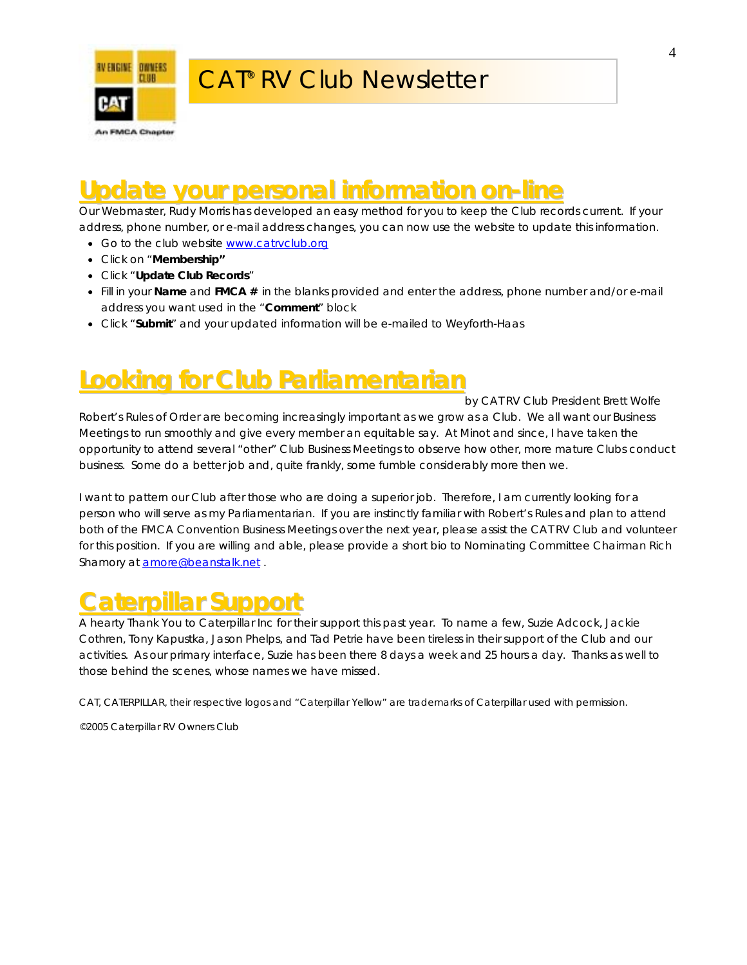

## **Update your personal information on-line**

Our Webmaster, Rudy Morris has developed an easy method for you to keep the Club records current. If your address, phone number, or e-mail address changes, you can now use the website to update this information.

- Go to the club website [www.catrvclub.org](http://www.catrvclub.org/)
- Click on "**Membership"**
- Click "**Update Club Records**"
- Fill in your **Name** and **FMCA #** in the blanks provided and enter the address, phone number and/or e-mail address you want used in the "**Comment**" block
- Click "**Submit**" and your updated information will be e-mailed to Weyforth-Haas

## **Looking for Club Parliamentarian ooking for Club Parliamentarian**

*by CAT RV Club President Brett Wolfe* 

Robert's Rules of Order are becoming increasingly important as we grow as a Club. We all want our Business Meetings to run smoothly and give every member an equitable say. At Minot and since, I have taken the opportunity to attend several "other" Club Business Meetings to observe how other, more mature Clubs conduct business. Some do a better job and, quite frankly, some fumble considerably more then we.

I want to pattern our Club after those who are doing a superior job. Therefore, I am currently looking for a person who will serve as my Parliamentarian. If you are instinctly familiar with Robert's Rules and plan to attend both of the FMCA Convention Business Meetings over the next year, please assist the CAT RV Club and volunteer for this position. If you are willing and able, please provide a short bio to Nominating Committee Chairman Rich Shamory at **[amore@beanstalk.net](mailto:amore@beanstalk.net)**.

### **Caterpillar Support aterpillar**

A hearty Thank You to Caterpillar Inc for their support this past year. To name a few, Suzie Adcock, Jackie Cothren, Tony Kapustka, Jason Phelps, and Tad Petrie have been tireless in their support of the Club and our activities. As our primary interface, Suzie has been there 8 days a week and 25 hours a day. Thanks as well to those behind the scenes, whose names we have missed.

CAT, CATERPILLAR, their respective logos and "Caterpillar Yellow" are trademarks of Caterpillar used with permission.

©2005 Caterpillar RV Owners Club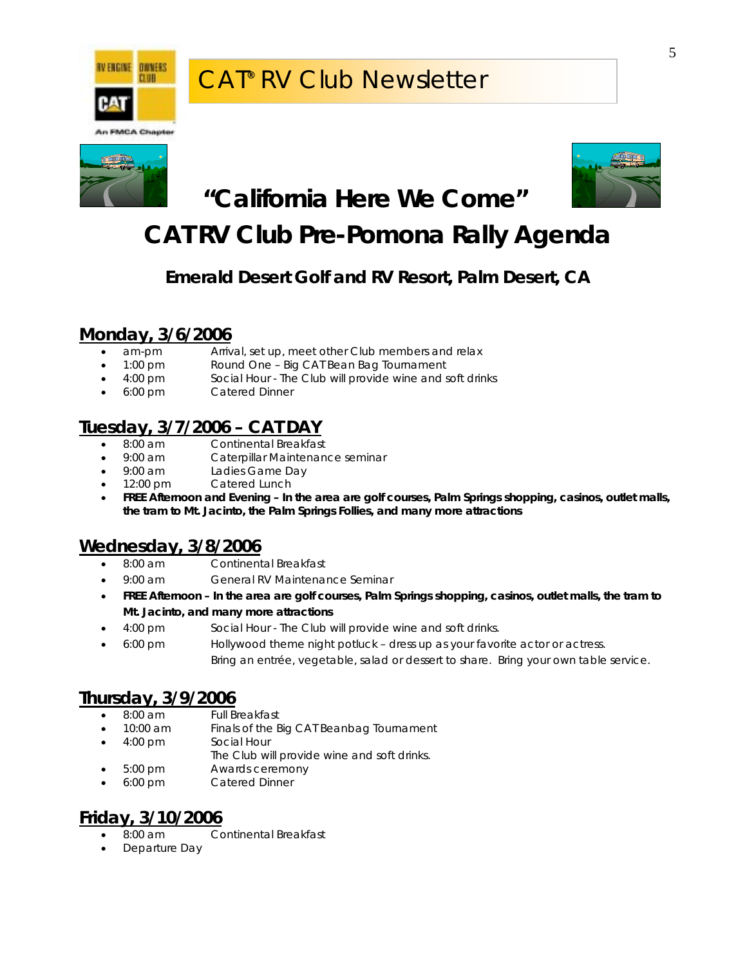





### **"California Here We Come"**

## **CAT RV Club Pre-Pomona Rally Agenda**

#### **Emerald Desert Golf and RV Resort, Palm Desert, CA**

#### **Monday, 3/6/2006**

- am-pm Arrival, set up, meet other Club members and relax
- 1:00 pm Round One Big CAT Bean Bag Tournament
- 4:00 pm Social Hour The Club will provide wine and soft drinks
- 6:00 pm Catered Dinner

#### **Tuesday, 3/7/2006 – CAT DAY**

- 8:00 am Continental Breakfast
- 9:00 am Caterpillar Maintenance seminar
- 9:00 am Ladies Game Day
- 12:00 pm Catered Lunch
- **FREE Afternoon and Evening In the area are golf courses, Palm Springs shopping, casinos, outlet malls, the tram to Mt. Jacinto, the Palm Springs Follies, and many more attractions**

#### **Wednesday, 3/8/2006**

- 8:00 am Continental Breakfast
- 9:00 am General RV Maintenance Seminar
- **FREE Afternoon In the area are golf courses, Palm Springs shopping, casinos, outlet malls, the tram to Mt. Jacinto, and many more attractions**
- 4:00 pm Social Hour The Club will provide wine and soft drinks.
- 6:00 pm Hollywood theme night potluck dress up as your favorite actor or actress. Bring an entrée, vegetable, salad or dessert to share. Bring your own table service.

#### **Thursday, 3/9/2006**

- 8:00 am Full Breakfast
- 10:00 am Finals of the Big CAT Beanbag Tournament
- 4:00 pm Social Hour
- The Club will provide wine and soft drinks.
- 5:00 pm Awards ceremony
- 6:00 pm Catered Dinner

#### **Friday, 3/10/2006**

- 8:00 am Continental Breakfast
- Departure Day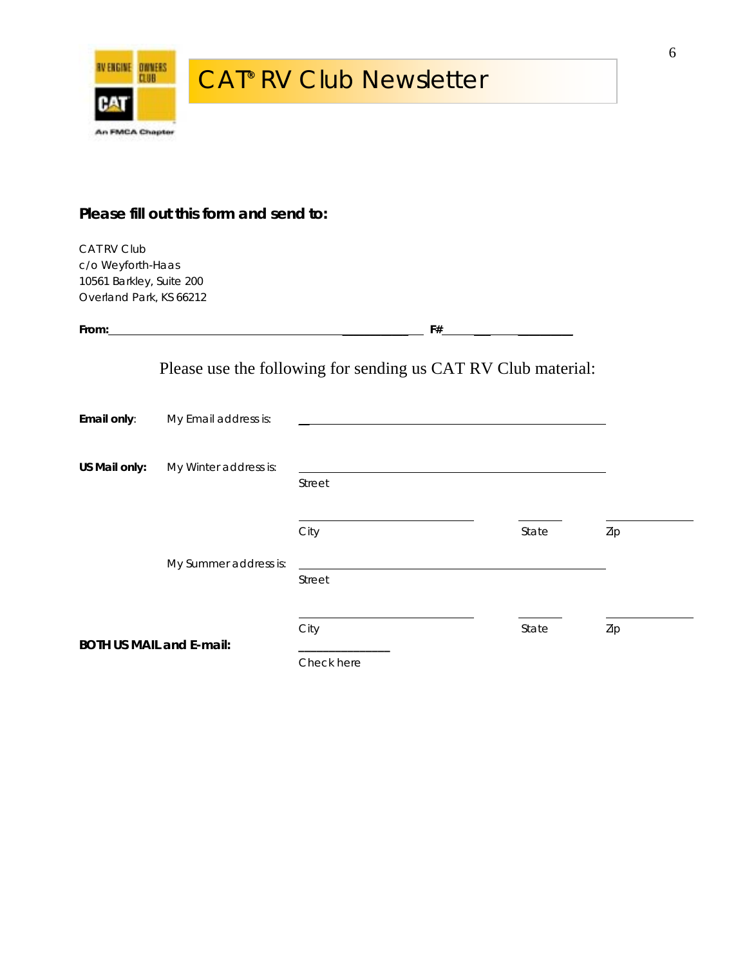

#### **Please fill out this form and send to:**

CAT RV Club c/o Weyforth-Haas 10561 Barkley, Suite 200 Overland Park, KS 66212

| From:         |                                 |            | F#                                                                                                                                                                                                                            |     |
|---------------|---------------------------------|------------|-------------------------------------------------------------------------------------------------------------------------------------------------------------------------------------------------------------------------------|-----|
|               |                                 |            | Please use the following for sending us CAT RV Club material:                                                                                                                                                                 |     |
| Email only:   | My Email address is:            |            |                                                                                                                                                                                                                               |     |
| US Mail only: | My Winter address is:           | Street     | the control of the control of the control of the control of the control of the control of the control of the control of the control of the control of the control of the control of the control of the control of the control |     |
|               |                                 | City       | State                                                                                                                                                                                                                         | Zip |
|               | My Summer address is:           | Street     |                                                                                                                                                                                                                               |     |
|               | <b>BOTH US MAIL and E-mail:</b> | City       | State                                                                                                                                                                                                                         | Zip |
|               |                                 | Check here |                                                                                                                                                                                                                               |     |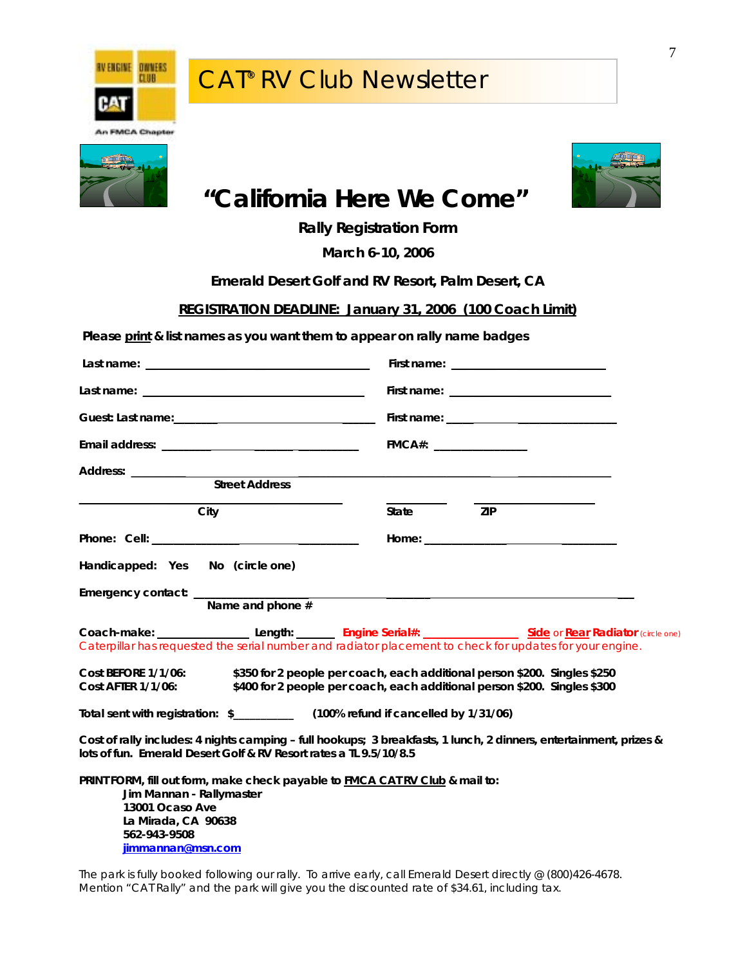



## **"California Here We Come"**

**Rally Registration Form** 

**March 6-10, 2006** 

**Emerald Desert Golf and RV Resort, Palm Desert, CA** 

**REGISTRATION DEADLINE: January 31, 2006 (100 Coach Limit)**

**Please print & list names as you want them to appear on rally name badges**

|                                                                                                                                                                                                                                                                                          | First name: $\frac{1}{1}$ = $\frac{1}{1}$ = $\frac{1}{1}$ = $\frac{1}{1}$ = $\frac{1}{1}$ = $\frac{1}{1}$ = $\frac{1}{1}$ = $\frac{1}{1}$ = $\frac{1}{1}$ = $\frac{1}{1}$ = $\frac{1}{1}$ = $\frac{1}{1}$ = $\frac{1}{1}$ = $\frac{1}{1}$ = $\frac{1}{1}$ = $\frac{1}{1}$ = $\frac{1}{1}$ = $\frac{1$ |  |  |
|------------------------------------------------------------------------------------------------------------------------------------------------------------------------------------------------------------------------------------------------------------------------------------------|-------------------------------------------------------------------------------------------------------------------------------------------------------------------------------------------------------------------------------------------------------------------------------------------------------|--|--|
| Last name: $\frac{1}{2}$ and $\frac{1}{2}$ and $\frac{1}{2}$ and $\frac{1}{2}$ and $\frac{1}{2}$ and $\frac{1}{2}$ and $\frac{1}{2}$ and $\frac{1}{2}$ and $\frac{1}{2}$ and $\frac{1}{2}$ and $\frac{1}{2}$ and $\frac{1}{2}$ and $\frac{1}{2}$ and $\frac{1}{2}$ and $\frac{1}{2}$ and | First name: $\frac{1}{1}$ = $\frac{1}{1}$ = $\frac{1}{1}$ = $\frac{1}{1}$ = $\frac{1}{1}$ = $\frac{1}{1}$ = $\frac{1}{1}$ = $\frac{1}{1}$ = $\frac{1}{1}$ = $\frac{1}{1}$ = $\frac{1}{1}$ = $\frac{1}{1}$ = $\frac{1}{1}$ = $\frac{1}{1}$ = $\frac{1}{1}$ = $\frac{1}{1}$ = $\frac{1}{1}$ = $\frac{1$ |  |  |
|                                                                                                                                                                                                                                                                                          | First name: The contract of the contract of the contract of the contract of the contract of the contract of the contract of the contract of the contract of the contract of the contract of the contract of the contract of th                                                                        |  |  |
| Email address: Email and the state of the state of the state of the state of the state of the state of the state of the state of the state of the state of the state of the state of the state of the state of the state of th                                                           | FMCA#                                                                                                                                                                                                                                                                                                 |  |  |
| Address: __________<br><b>Street Address</b>                                                                                                                                                                                                                                             |                                                                                                                                                                                                                                                                                                       |  |  |
|                                                                                                                                                                                                                                                                                          |                                                                                                                                                                                                                                                                                                       |  |  |
| City                                                                                                                                                                                                                                                                                     | State ZIP                                                                                                                                                                                                                                                                                             |  |  |
|                                                                                                                                                                                                                                                                                          |                                                                                                                                                                                                                                                                                                       |  |  |
| Handicapped: Yes No (circle one)                                                                                                                                                                                                                                                         |                                                                                                                                                                                                                                                                                                       |  |  |
| Emergency contact: _______________<br>Name and phone #                                                                                                                                                                                                                                   |                                                                                                                                                                                                                                                                                                       |  |  |
|                                                                                                                                                                                                                                                                                          | Coach-make: ________________________Length: ____________Engine Serial#: ___________________________Side or Rear Radiator (circle one)<br>Caterpillar has requested the serial number and radiator placement to check for updates for your engine.                                                     |  |  |
| <b>Cost BEFORE 1/1/06:</b><br><b>Cost AFTER 1/1/06:</b>                                                                                                                                                                                                                                  | \$350 for 2 people per coach, each additional person \$200. Singles \$250<br>\$400 for 2 people per coach, each additional person \$200. Singles \$300                                                                                                                                                |  |  |
| Total sent with registration: \$_________________ (100% refund if cancelled by 1/31/06)                                                                                                                                                                                                  |                                                                                                                                                                                                                                                                                                       |  |  |
| lots of fun. Emerald Desert Golf & RV Resort rates a TL 9.5/10/8.5                                                                                                                                                                                                                       | Cost of rally includes: 4 nights camping - full hookups; 3 breakfasts, 1 lunch, 2 dinners, entertainment, prizes &                                                                                                                                                                                    |  |  |
| PRINT FORM, fill out form, make check payable to <b>FMCA CAT RV Club</b> & mail to:<br>Jim Mannan - Rallymaster<br>13001 Ocaso Ave<br>La Mirada, CA 90638<br>562-943-9508<br>iimmannan@msn.com                                                                                           |                                                                                                                                                                                                                                                                                                       |  |  |

The park is fully booked following our rally. To arrive early, call Emerald Desert directly @ (800)426-4678. Mention "CAT Rally" and the park will give you the discounted rate of \$34.61, including tax.